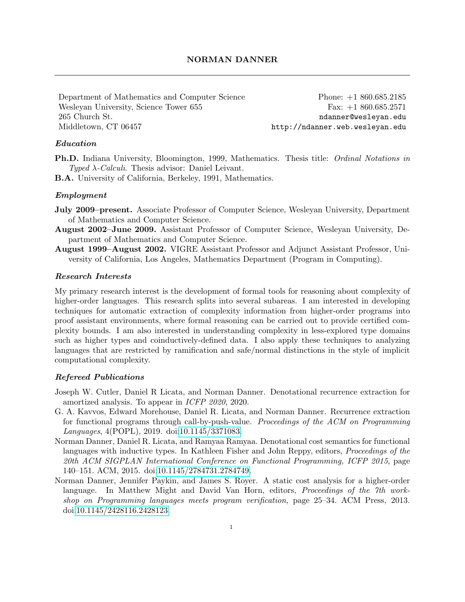Department of Mathematics and Computer Science Wesleyan University, Science Tower 655 265 Church St. Middletown, CT 06457

Phone: +1 860.685.2185 Fax: +1 860.685.2571 ndanner@wesleyan.edu http://ndanner.web.wesleyan.edu

# Education

Ph.D. Indiana University, Bloomington, 1999, Mathematics. Thesis title: Ordinal Notations in Typed  $\lambda$ -Calculi. Thesis advisor: Daniel Leivant.

B.A. University of California, Berkeley, 1991, Mathematics.

# Employment

- July 2009–present. Associate Professor of Computer Science, Wesleyan University, Department of Mathematics and Computer Science.
- August 2002–June 2009. Assistant Professor of Computer Science, Wesleyan University, Department of Mathematics and Computer Science.
- August 1999–August 2002. VIGRE Assistant Professor and Adjunct Assistant Professor, University of California, Los Angeles, Mathematics Department (Program in Computing).

# Research Interests

My primary research interest is the development of formal tools for reasoning about complexity of higher-order languages. This research splits into several subareas. I am interested in developing techniques for automatic extraction of complexity information from higher-order programs into proof assistant environments, where formal reasoning can be carried out to provide certified complexity bounds. I am also interested in understanding complexity in less-explored type domains such as higher types and coinductively-defined data. I also apply these techniques to analyzing languages that are restricted by ramification and safe/normal distinctions in the style of implicit computational complexity.

## Refereed Publications

- Joseph W. Cutler, Daniel R Licata, and Norman Danner. Denotational recurrence extraction for amortized analysis. To appear in ICFP 2020, 2020.
- G. A. Kavvos, Edward Morehouse, Daniel R. Licata, and Norman Danner. Recurrence extraction for functional programs through call-by-push-value. Proceedings of the ACM on Programming Languages, 4(POPL), 2019. doi[:10.1145/3371083.](https://doi.org/10.1145/3371083)
- Norman Danner, Daniel R. Licata, and Ramyaa Ramyaa. Denotational cost semantics for functional languages with inductive types. In Kathleen Fisher and John Reppy, editors, *Proceedings of the* 20th ACM SIGPLAN International Conference on Functional Programming, ICFP 2015, page 140–151. ACM, 2015. doi[:10.1145/2784731.2784749.](https://doi.org/10.1145/2784731.2784749)
- Norman Danner, Jennifer Paykin, and James S. Royer. A static cost analysis for a higher-order language. In Matthew Might and David Van Horn, editors, *Proceedings of the 7th work*shop on Programming languages meets program verification, page 25–34. ACM Press, 2013. doi[:10.1145/2428116.2428123.](https://doi.org/10.1145/2428116.2428123)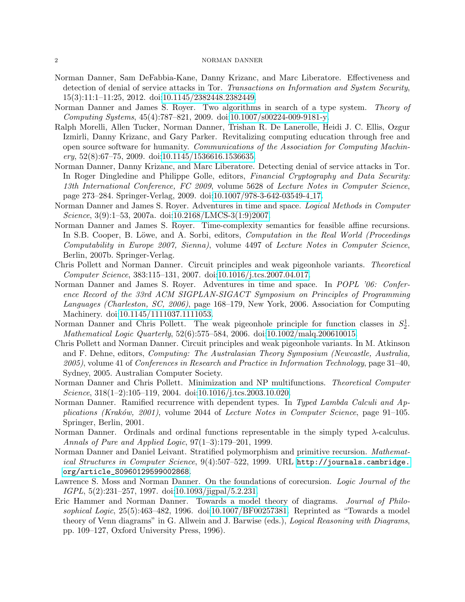#### 2 NORMAN DANNER

- Norman Danner, Sam DeFabbia-Kane, Danny Krizanc, and Marc Liberatore. Effectiveness and detection of denial of service attacks in Tor. Transactions on Information and System Security, 15(3):11:1–11:25, 2012. doi[:10.1145/2382448.2382449.](https://doi.org/10.1145/2382448.2382449)
- Norman Danner and James S. Royer. Two algorithms in search of a type system. Theory of Computing Systems, 45(4):787–821, 2009. doi[:10.1007/s00224-009-9181-y.](https://doi.org/10.1007/s00224-009-9181-y)
- Ralph Morelli, Allen Tucker, Norman Danner, Trishan R. De Lanerolle, Heidi J. C. Ellis, Ozgur Izmirli, Danny Krizanc, and Gary Parker. Revitalizing computing education through free and open source software for humanity. Communications of the Association for Computing Machin $ery, 52(8): 67–75, 2009.$  doi[:10.1145/1536616.1536635.](https://doi.org/10.1145/1536616.1536635)
- Norman Danner, Danny Krizanc, and Marc Liberatore. Detecting denial of service attacks in Tor. In Roger Dingledine and Philippe Golle, editors, Financial Cryptography and Data Security: 13th International Conference, FC 2009, volume 5628 of Lecture Notes in Computer Science, page 273–284. Springer-Verlag, 2009. doi[:10.1007/978-3-642-03549-4](https://doi.org/10.1007/978-3-642-03549-4_17) 17.
- Norman Danner and James S. Royer. Adventures in time and space. Logical Methods in Computer Science, 3(9):1–53, 2007a. doi[:10.2168/LMCS-3\(1:9\)2007.](https://doi.org/10.2168/LMCS-3(1:9)2007)
- Norman Danner and James S. Royer. Time-complexity semantics for feasible affine recursions. In S.B. Cooper, B. Löwe, and A. Sorbi, editors, *Computation in the Real World (Proceedings* Computability in Europe 2007, Sienna), volume 4497 of Lecture Notes in Computer Science, Berlin, 2007b. Springer-Verlag.
- Chris Pollett and Norman Danner. Circuit principles and weak pigeonhole variants. Theoretical Computer Science, 383:115–131, 2007. doi[:10.1016/j.tcs.2007.04.017.](https://doi.org/10.1016/j.tcs.2007.04.017)
- Norman Danner and James S. Royer. Adventures in time and space. In POPL '06: Conference Record of the 33rd ACM SIGPLAN-SIGACT Symposium on Principles of Programming Languages (Charleston, SC, 2006), page 168–179, New York, 2006. Association for Computing Machinery. doi[:10.1145/1111037.1111053.](https://doi.org/10.1145/1111037.1111053)
- Norman Danner and Chris Pollett. The weak pigeonhole principle for function classes in  $S_2^1$ . Mathematical Logic Quarterly, 52(6):575–584, 2006. doi[:10.1002/malq.200610015.](https://doi.org/10.1002/malq.200610015)
- Chris Pollett and Norman Danner. Circuit principles and weak pigeonhole variants. In M. Atkinson and F. Dehne, editors, Computing: The Australasian Theory Symposium (Newcastle, Australia, 2005), volume 41 of Conferences in Research and Practice in Information Technology, page 31–40, Sydney, 2005. Australian Computer Society.
- Norman Danner and Chris Pollett. Minimization and NP multifunctions. Theoretical Computer Science, 318(1–2):105–119, 2004. doi[:10.1016/j.tcs.2003.10.020.](https://doi.org/10.1016/j.tcs.2003.10.020)
- Norman Danner. Ramified recurrence with dependent types. In Typed Lambda Calculi and Applications (Kraków, 2001), volume  $2044$  of Lecture Notes in Computer Science, page  $91-105$ . Springer, Berlin, 2001.
- Norman Danner. Ordinals and ordinal functions representable in the simply typed λ-calculus. Annals of Pure and Applied Logic,  $97(1-3):179-201$ , 1999.
- Norman Danner and Daniel Leivant. Stratified polymorphism and primitive recursion. Mathematical Structures in Computer Science, 9(4):507-522, 1999. URL [http://journals.cambridge.](http://journals.cambridge.org/article_S0960129599002868) [org/article\\_S0960129599002868](http://journals.cambridge.org/article_S0960129599002868).
- Lawrence S. Moss and Norman Danner. On the foundations of corecursion. Logic Journal of the IGPL, 5(2):231–257, 1997. doi[:10.1093/jigpal/5.2.231.](https://doi.org/10.1093/jigpal/5.2.231)
- Eric Hammer and Norman Danner. Towards a model theory of diagrams. Journal of Philosophical Logic, 25(5):463–482, 1996. doi[:10.1007/BF00257381.](https://doi.org/10.1007/BF00257381) Reprinted as "Towards a model theory of Venn diagrams" in G. Allwein and J. Barwise (eds.), Logical Reasoning with Diagrams, pp. 109–127, Oxford University Press, 1996).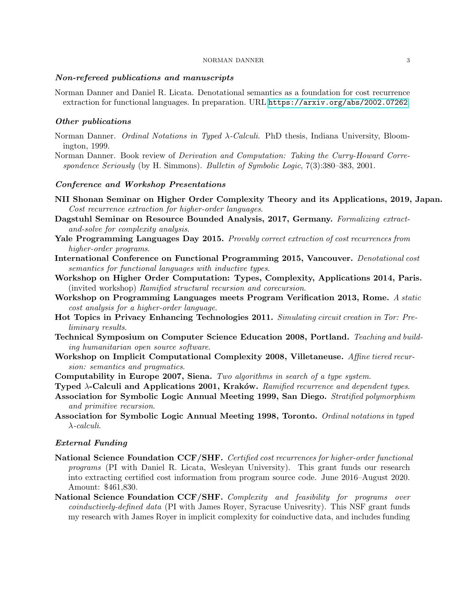#### NORMAN DANNER 3

### Non-refereed publications and manuscripts

Norman Danner and Daniel R. Licata. Denotational semantics as a foundation for cost recurrence extraction for functional languages. In preparation. URL <https://arxiv.org/abs/2002.07262>.

# Other publications

- Norman Danner. Ordinal Notations in Typed λ-Calculi. PhD thesis, Indiana University, Bloomington, 1999.
- Norman Danner. Book review of Derivation and Computation: Taking the Curry-Howard Correspondence Seriously (by H. Simmons). Bulletin of Symbolic Logic, 7(3):380–383, 2001.

### Conference and Workshop Presentations

- NII Shonan Seminar on Higher Order Complexity Theory and its Applications, 2019, Japan. Cost recurrence extraction for higher-order languages.
- Dagstuhl Seminar on Resource Bounded Analysis, 2017, Germany. Formalizing extractand-solve for complexity analysis.
- Yale Programming Languages Day 2015. Provably correct extraction of cost recurrences from higher-order programs.
- International Conference on Functional Programming 2015, Vancouver. Denotational cost semantics for functional languages with inductive types.
- Workshop on Higher Order Computation: Types, Complexity, Applications 2014, Paris. (invited workshop) Ramified structural recursion and corecursion.
- Workshop on Programming Languages meets Program Verification 2013, Rome. A static cost analysis for a higher-order language.
- Hot Topics in Privacy Enhancing Technologies 2011. Simulating circuit creation in Tor: Preliminary results.
- Technical Symposium on Computer Science Education 2008, Portland. Teaching and building humanitarian open source software.
- Workshop on Implicit Computational Complexity 2008, Villetaneuse. Affine tiered recursion: semantics and pragmatics.
- Computability in Europe 2007, Siena. Two algorithms in search of a type system.
- Typed  $\lambda$ -Calculi and Applications 2001, Kraków. Ramified recurrence and dependent types.
- Association for Symbolic Logic Annual Meeting 1999, San Diego. Stratified polymorphism and primitive recursion.
- Association for Symbolic Logic Annual Meeting 1998, Toronto. Ordinal notations in typed λ-calculi.

# External Funding

- National Science Foundation CCF/SHF. Certified cost recurrences for higher-order functional programs (PI with Daniel R. Licata, Wesleyan University). This grant funds our research into extracting certified cost information from program source code. June 2016–August 2020. Amount: \$461,830.
- National Science Foundation CCF/SHF. Complexity and feasibility for programs over coinductively-defined data (PI with James Royer, Syracuse Univesrity). This NSF grant funds my research with James Royer in implicit complexity for coinductive data, and includes funding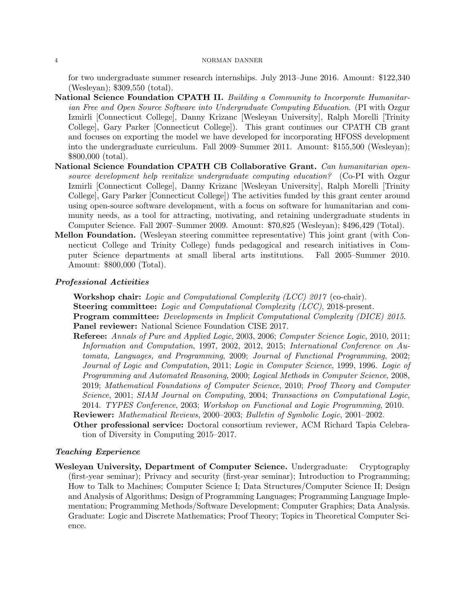#### 4 NORMAN DANNER

for two undergraduate summer research internships. July 2013–June 2016. Amount: \$122,340 (Wesleyan); \$309,550 (total).

- National Science Foundation CPATH II. Building a Community to Incorporate Humanitarian Free and Open Source Software into Undergraduate Computing Education. (PI with Ozgur Izmirli [Connecticut College], Danny Krizanc [Wesleyan University], Ralph Morelli [Trinity College], Gary Parker [Connecticut College]). This grant continues our CPATH CB grant and focuses on exporting the model we have developed for incorporating HFOSS development into the undergraduate curriculum. Fall 2009–Summer 2011. Amount: \$155,500 (Wesleyan); \$800,000 (total).
- National Science Foundation CPATH CB Collaborative Grant. Can humanitarian opensource development help revitalize undergraduate computing education? (Co-PI with Ozgur Izmirli [Connecticut College], Danny Krizanc [Wesleyan University], Ralph Morelli [Trinity College], Gary Parker [Connecticut College]) The activities funded by this grant center around using open-source software development, with a focus on software for humanitarian and community needs, as a tool for attracting, motivating, and retaining undergraduate students in Computer Science. Fall 2007–Summer 2009. Amount: \$70,825 (Wesleyan); \$496,429 (Total).
- Mellon Foundation. (Wesleyan steering committee representative) This joint grant (with Connecticut College and Trinity College) funds pedagogical and research initiatives in Computer Science departments at small liberal arts institutions. Fall 2005–Summer 2010. Amount: \$800,000 (Total).

### Professional Activities

Workshop chair: Logic and Computational Complexity (LCC) 2017 (co-chair). Steering committee: Logic and Computational Complexity (LCC), 2018-present. Program committee: Developments in Implicit Computational Complexity (DICE) 2015. Panel reviewer: National Science Foundation CISE 2017.

- Referee: Annals of Pure and Applied Logic, 2003, 2006; Computer Science Logic, 2010, 2011; Information and Computation, 1997, 2002, 2012, 2015; International Conference on Automata, Languages, and Programming, 2009; Journal of Functional Programming, 2002; Journal of Logic and Computation, 2011; Logic in Computer Science, 1999, 1996. Logic of Programming and Automated Reasoning, 2000; Logical Methods in Computer Science, 2008, 2019; Mathematical Foundations of Computer Science, 2010; Proof Theory and Computer Science, 2001; SIAM Journal on Computing, 2004; Transactions on Computational Logic, 2014. TYPES Conference, 2003; Workshop on Functional and Logic Programming, 2010.
- Reviewer: Mathematical Reviews, 2000–2003; Bulletin of Symbolic Logic, 2001–2002.
- Other professional service: Doctoral consortium reviewer, ACM Richard Tapia Celebration of Diversity in Computing 2015–2017.

## Teaching Experience

Wesleyan University, Department of Computer Science. Undergraduate: Cryptography (first-year seminar); Privacy and security (first-year seminar); Introduction to Programming; How to Talk to Machines; Computer Science I; Data Structures/Computer Science II; Design and Analysis of Algorithms; Design of Programming Languages; Programming Language Implementation; Programming Methods/Software Development; Computer Graphics; Data Analysis. Graduate: Logic and Discrete Mathematics; Proof Theory; Topics in Theoretical Computer Science.